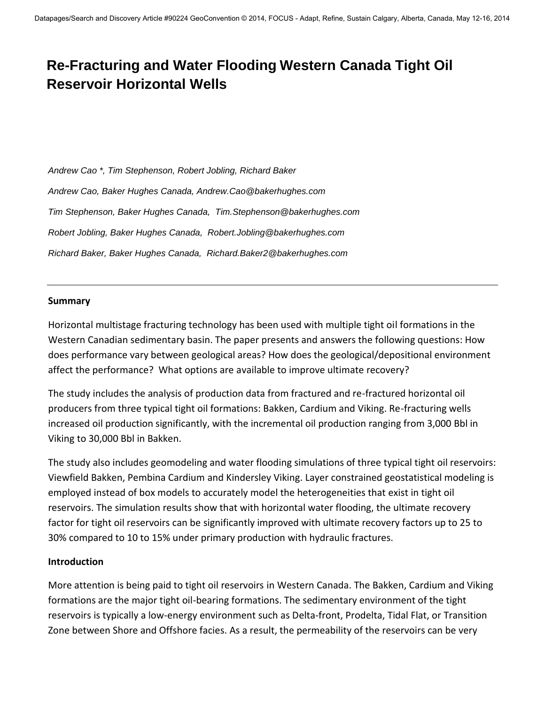# **Re-Fracturing and Water Flooding Western Canada Tight Oil Reservoir Horizontal Wells**

*Andrew Cao \*, Tim Stephenson, Robert Jobling, Richard Baker Andrew Cao, Baker Hughes Canada, Andrew.Cao@bakerhughes.com Tim Stephenson, Baker Hughes Canada, Tim.Stephenson@bakerhughes.com Robert Jobling, Baker Hughes Canada, Robert.Jobling@bakerhughes.com Richard Baker, Baker Hughes Canada, Richard.Baker2@bakerhughes.com* 

#### **Summary**

Horizontal multistage fracturing technology has been used with multiple tight oil formations in the Western Canadian sedimentary basin. The paper presents and answers the following questions: How does performance vary between geological areas? How does the geological/depositional environment affect the performance? What options are available to improve ultimate recovery?

The study includes the analysis of production data from fractured and re-fractured horizontal oil producers from three typical tight oil formations: Bakken, Cardium and Viking. Re-fracturing wells increased oil production significantly, with the incremental oil production ranging from 3,000 Bbl in Viking to 30,000 Bbl in Bakken.

The study also includes geomodeling and water flooding simulations of three typical tight oil reservoirs: Viewfield Bakken, Pembina Cardium and Kindersley Viking. Layer constrained geostatistical modeling is employed instead of box models to accurately model the heterogeneities that exist in tight oil reservoirs. The simulation results show that with horizontal water flooding, the ultimate recovery factor for tight oil reservoirs can be significantly improved with ultimate recovery factors up to 25 to 30% compared to 10 to 15% under primary production with hydraulic fractures.

#### **Introduction**

More attention is being paid to tight oil reservoirs in Western Canada. The Bakken, Cardium and Viking formations are the major tight oil-bearing formations. The sedimentary environment of the tight reservoirs is typically a low-energy environment such as Delta-front, Prodelta, Tidal Flat, or Transition Zone between Shore and Offshore facies. As a result, the permeability of the reservoirs can be very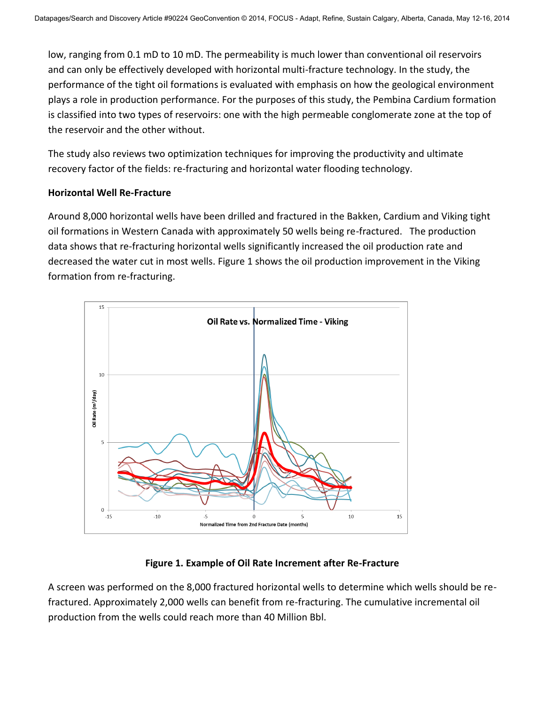low, ranging from 0.1 mD to 10 mD. The permeability is much lower than conventional oil reservoirs and can only be effectively developed with horizontal multi-fracture technology. In the study, the performance of the tight oil formations is evaluated with emphasis on how the geological environment plays a role in production performance. For the purposes of this study, the Pembina Cardium formation is classified into two types of reservoirs: one with the high permeable conglomerate zone at the top of the reservoir and the other without.

The study also reviews two optimization techniques for improving the productivity and ultimate recovery factor of the fields: re-fracturing and horizontal water flooding technology.

#### **Horizontal Well Re-Fracture**

Around 8,000 horizontal wells have been drilled and fractured in the Bakken, Cardium and Viking tight oil formations in Western Canada with approximately 50 wells being re-fractured. The production data shows that re-fracturing horizontal wells significantly increased the oil production rate and decreased the water cut in most wells. Figure 1 shows the oil production improvement in the Viking formation from re-fracturing.



# **Figure 1. Example of Oil Rate Increment after Re-Fracture**

A screen was performed on the 8,000 fractured horizontal wells to determine which wells should be refractured. Approximately 2,000 wells can benefit from re-fracturing. The cumulative incremental oil production from the wells could reach more than 40 Million Bbl.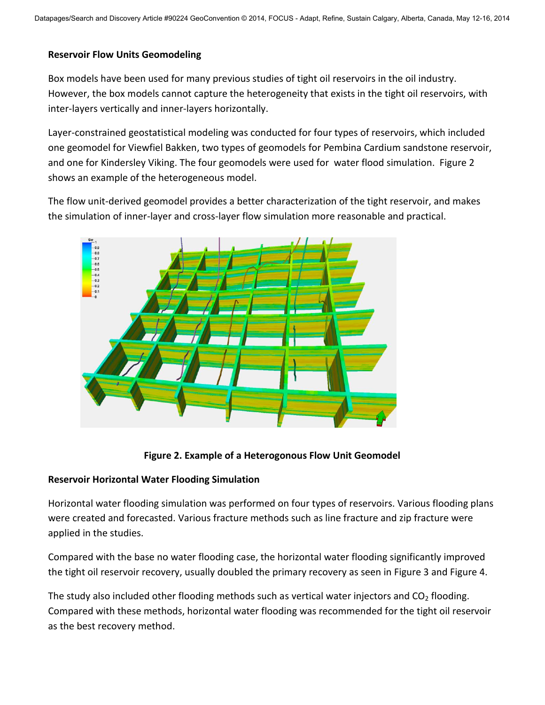### **Reservoir Flow Units Geomodeling**

Box models have been used for many previous studies of tight oil reservoirs in the oil industry. However, the box models cannot capture the heterogeneity that exists in the tight oil reservoirs, with inter-layers vertically and inner-layers horizontally.

Layer-constrained geostatistical modeling was conducted for four types of reservoirs, which included one geomodel for Viewfiel Bakken, two types of geomodels for Pembina Cardium sandstone reservoir, and one for Kindersley Viking. The four geomodels were used for water flood simulation. Figure 2 shows an example of the heterogeneous model.

The flow unit-derived geomodel provides a better characterization of the tight reservoir, and makes the simulation of inner-layer and cross-layer flow simulation more reasonable and practical.



# **Figure 2. Example of a Heterogonous Flow Unit Geomodel**

# **Reservoir Horizontal Water Flooding Simulation**

Horizontal water flooding simulation was performed on four types of reservoirs. Various flooding plans were created and forecasted. Various fracture methods such as line fracture and zip fracture were applied in the studies.

Compared with the base no water flooding case, the horizontal water flooding significantly improved the tight oil reservoir recovery, usually doubled the primary recovery as seen in Figure 3 and Figure 4.

The study also included other flooding methods such as vertical water injectors and  $CO<sub>2</sub>$  flooding. Compared with these methods, horizontal water flooding was recommended for the tight oil reservoir as the best recovery method.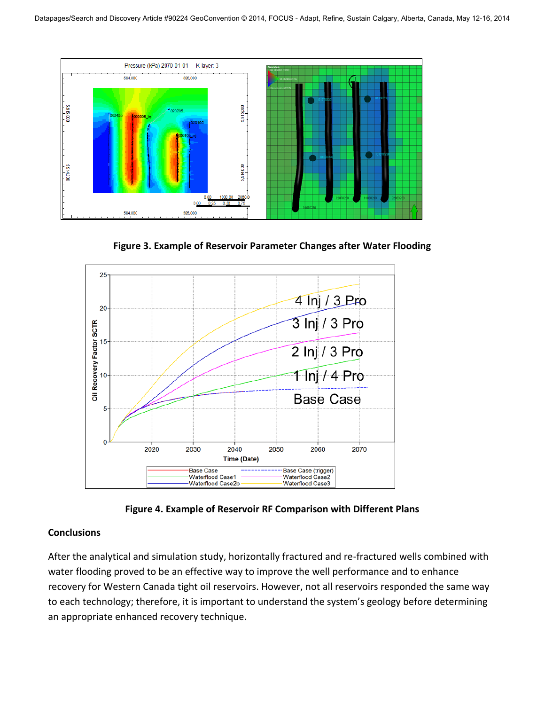

**Figure 3. Example of Reservoir Parameter Changes after Water Flooding** 



**Figure 4. Example of Reservoir RF Comparison with Different Plans** 

# **Conclusions**

After the analytical and simulation study, horizontally fractured and re-fractured wells combined with water flooding proved to be an effective way to improve the well performance and to enhance recovery for Western Canada tight oil reservoirs. However, not all reservoirs responded the same way to each technology; therefore, it is important to understand the system's geology before determining an appropriate enhanced recovery technique.